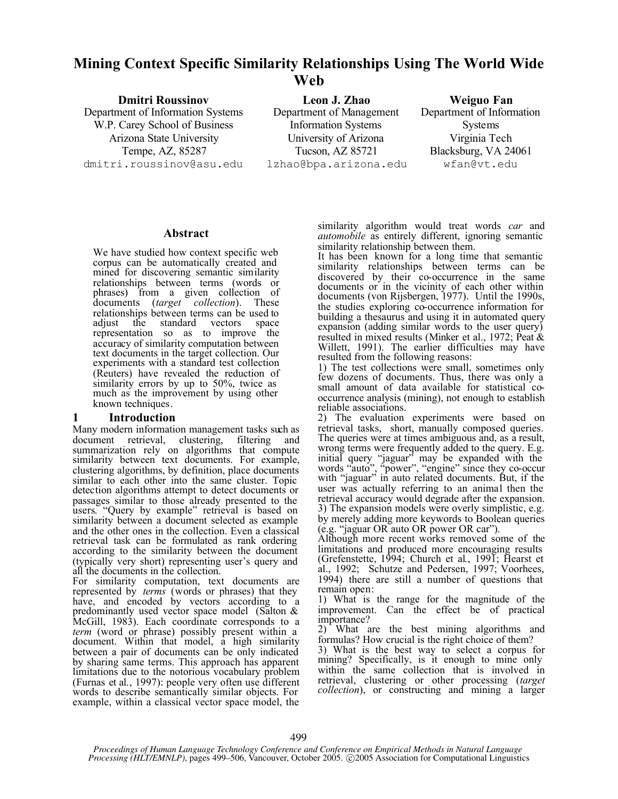# **Mining Context Specific Similarity Relationships Using The World Wide Web**

Department of Information Systems W.P. Carey School of Business Arizona State University University of Arizona Virginia Tech dmitri.roussinov@asu.edu lzhao@bpa.arizona.edu wfan@vt.edu

**Dmitri Roussinov Leon J. Zhao Weiguo Fan** Department of Management Information Systems Tempe, AZ, 85287 Tucson, AZ 85721 Blacksburg, VA 24061

Department of Information **Systems** 

### **Abstract**

We have studied how context specific web corpus can be automatically created and mined for discovering semantic similarity relationships between terms (words or phrases) from a given collection of documents (*target collection*). These relationships between terms can be used to adjust the standard vectors space adjust the standard vectors representation so as to improve the accuracy of similarity computation between text documents in the target collection. Our experiments with a standard test collection (Reuters) have revealed the reduction of similarity errors by up to 50%, twice as much as the improvement by using other known techniques.

# **1 Introduction**

Many modern information management tasks such as<br>document retrieval clustering filtering and document retrieval, clustering, filtering summarization rely on algorithms that compute similarity between text documents. For example, clustering algorithms, by definition, place documents similar to each other into the same cluster. Topic detection algorithms attempt to detect documents or passages similar to those already presented to the users. "Query by example" retrieval is based on similarity between a document selected as example and the other ones in the collection. Even a classical retrieval task can be formulated as rank ordering according to the similarity between the document (typically very short) representing user's query and all the documents in the collection.

For similarity computation, text documents are represented by *terms* (words or phrases) that they have, and encoded by vectors according to a predominantly used vector space model (Salton & McGill, 1983). Each coordinate corresponds to a *term* (word or phrase) possibly present within a document. Within that model, a high similarity between a pair of documents can be only indicated by sharing same terms. This approach has apparent limitations due to the notorious vocabulary problem (Furnas et al., 1997): people very often use different words to describe semantically similar objects. For example, within a classical vector space model, the

similarity algorithm would treat words *car* and *automobile* as entirely different, ignoring semantic similarity relationship between them.

It has been known for a long time that semantic similarity relationships between terms can be discovered by their co-occurrence in the same documents or in the vicinity of each other within documents (von Rijsbergen, 1977). Until the 1990s, the studies exploring co-occurrence information for building a thesaurus and using it in automated query expansion (adding similar words to the user query) resulted in mixed results (Minker et al., 1972; Peat & Willett, 1991). The earlier difficulties may have resulted from the following reasons:

1) The test collections were small, sometimes only few dozens of documents. Thus, there was only a small amount of data available for statistical cooccurrence analysis (mining), not enough to establish reliable associations.

2) The evaluation experiments were based on retrieval tasks, short, manually composed queries. The queries were at times ambiguous and, as a result, wrong terms were frequently added to the query. E.g. initial query "jaguar" may be expanded with the words "auto", "power", "engine" since they co-occur with "jaguar" in auto related documents. But, if the user was actually referring to an animal then the retrieval accuracy would degrade after the expansion. 3) The expansion models were overly simplistic, e.g. by merely adding more keywords to Boolean queries (e.g. "jaguar OR auto OR power OR car").

Although more recent works removed some of the limitations and produced more encouraging results (Grefenstette, 1994; Church et al., 1991; Hearst et al., 1992; Schutze and Pedersen, 1997; Voorhees, 1994) there are still a number of questions that remain open:

1) What is the range for the magnitude of the improvement. Can the effect be of practical importance?

2) What are the best mining algorithms and formulas? How crucial is the right choice of them?

3) What is the best way to select a corpus for mining? Specifically, is it enough to mine only within the same collection that is involved in retrieval, clustering or other processing (*target collection*), or constructing and mining a larger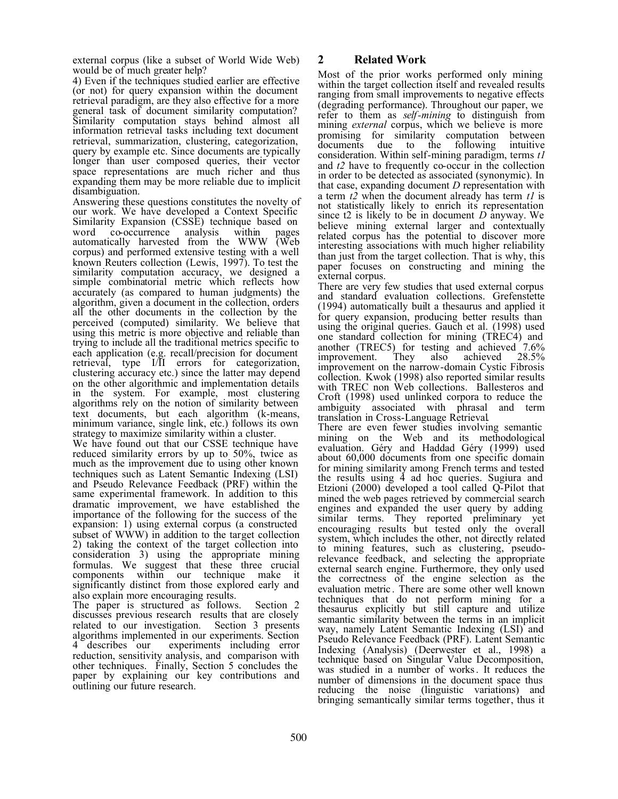external corpus (like a subset of World Wide Web) would be of much greater help?

4) Even if the techniques studied earlier are effective (or not) for query expansion within the document retrieval paradigm, are they also effective for a more general task of document similarity computation? Similarity computation stays behind almost all information retrieval tasks including text document retrieval, summarization, clustering, categorization, query by example etc. Since documents are typically longer than user composed queries, their vector space representations are much richer and thus expanding them may be more reliable due to implicit disambiguation.

Answering these questions constitutes the novelty of our work. We have developed a Context Specific Similarity Expansion (CSSE) technique based on word co-occurrence analysis within pages  $\rm co\text{-}occurrence$  analysis automatically harvested from the WWW (Web corpus) and performed extensive testing with a well known Reuters collection (Lewis, 1997). To test the similarity computation accuracy, we designed a simple combinatorial metric which reflects how accurately (as compared to human judgments) the algorithm, given a document in the collection, orders all the other documents in the collection by the perceived (computed) similarity. We believe that using this metric is more objective and reliable than trying to include all the traditional metrics specific to each application (e.g. recall/precision for document retrieval, type I/II errors for categorization, clustering accuracy etc.) since the latter may depend on the other algorithmic and implementation details in the system. For example, most clustering algorithms rely on the notion of similarity between text documents, but each algorithm (k-means, minimum variance, single link, etc.) follows its own strategy to maximize similarity within a cluster.

We have found out that our CSSE technique have reduced similarity errors by up to 50%, twice as much as the improvement due to using other known techniques such as Latent Semantic Indexing (LSI) and Pseudo Relevance Feedback (PRF) within the same experimental framework. In addition to this dramatic improvement, we have established the importance of the following for the success of the expansion: 1) using external corpus (a constructed subset of WWW) in addition to the target collection 2) taking the context of the target collection into consideration 3) using the appropriate mining formulas. We suggest that these three crucial components within our technique make it significantly distinct from those explored early and also explain more encouraging results.

The paper is structured as follows. Section 2 discusses previous research results that are closely related to our investigation. Section 3 presents algorithms implemented in our experiments. Section experiments including error reduction, sensitivity analysis, and comparison with other techniques. Finally, Section 5 concludes the paper by explaining our key contributions and outlining our future research.

# **2 Related Work**

Most of the prior works performed only mining within the target collection itself and revealed results ranging from small improvements to negative effects (degrading performance). Throughout our paper, we refer to them as *self-mining* to distinguish from mining *external* corpus, which we believe is more promising for similarity computation between<br>documents due to the following intuitive due to the following intuitive consideration. Within self-mining paradigm, terms *t1* and *t2* have to frequently co-occur in the collection in order to be detected as associated (synonymic). In that case, expanding document *D* representation with a term *t2* when the document already has term *t1* is not statistically likely to enrich its representation since t2 is likely to be in document *D* anyway. We believe mining external larger and contextually related corpus has the potential to discover more interesting associations with much higher reliability than just from the target collection. That is why, this paper focuses on constructing and mining the external corpus.

There are very few studies that used external corpus and standard evaluation collections. Grefenstette (1994) automatically built a thesaurus and applied it for query expansion, producing better results than using the original queries. Gauch et al. (1998) used one standard collection for mining (TREC4) and another (TREC5) for testing and achieved 7.6%<br>improvement. They also achieved 28.5% improvement. improvement on the narrow-domain Cystic Fibrosis collection. Kwok (1998) also reported similar results with TREC non Web collections. Ballesteros and Croft (1998) used unlinked corpora to reduce the ambiguity associated with phrasal and term translation in Cross-Language Retrieval.

There are even fewer studies involving semantic mining on the Web and its methodological evaluation. Géry and Haddad Géry (1999) used about 60,000 documents from one specific domain for mining similarity among French terms and tested the results using 4 ad hoc queries. Sugiura and Etzioni (2000) developed a tool called Q-Pilot that mined the web pages retrieved by commercial search engines and expanded the user query by adding similar terms. They reported preliminary yet encouraging results but tested only the overall system, which includes the other, not directly related to mining features, such as clustering, pseudorelevance feedback, and selecting the appropriate external search engine. Furthermore, they only used the correctness of the engine selection as the evaluation metric . There are some other well known techniques that do not perform mining for a thesaurus explicitly but still capture and utilize semantic similarity between the terms in an implicit way, namely Latent Semantic Indexing (LSI) and Pseudo Relevance Feedback (PRF). Latent Semantic Indexing (Analysis) (Deerwester et al., 1998) a technique based on Singular Value Decomposition, was studied in a number of works. It reduces the number of dimensions in the document space thus reducing the noise (linguistic variations) and bringing semantically similar terms together, thus it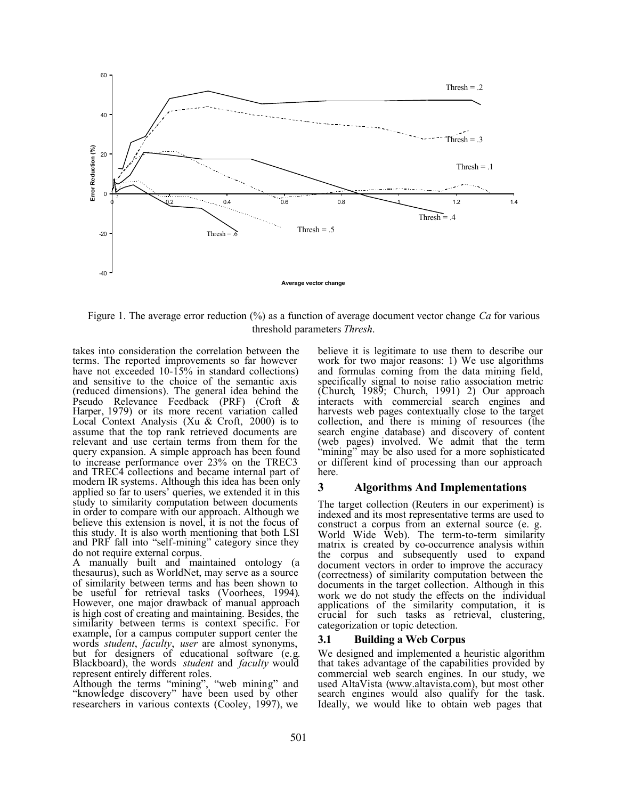

Figure 1. The average error reduction (%) as a function of average document vector change *Ca* for various threshold parameters *Thresh*.

takes into consideration the correlation between the terms. The reported improvements so far however have not exceeded 10-15% in standard collections) and sensitive to the choice of the semantic axis (reduced dimensions). The general idea behind the Pseudo Relevance Feedback (PRF) (Croft & Harper, 1979) or its more recent variation called Local Context Analysis (Xu & Croft, 2000) is to assume that the top rank retrieved documents are relevant and use certain terms from them for the query expansion. A simple approach has been found to increase performance over 23% on the TREC3 and TREC4 collections and became internal part of modern IR systems. Although this idea has been only applied so far to users' queries, we extended it in this study to similarity computation between documents in order to compare with our approach. Although we believe this extension is novel, it is not the focus of this study. It is also worth mentioning that both LSI and PRF fall into "self-mining" category since they do not require external corpus.

A manually built and maintained ontology (a thesaurus), such as WorldNet, may serve as a source of similarity between terms and has been shown to be useful for retrieval tasks (Voorhees, 1994). However, one major drawback of manual approach is high cost of creating and maintaining. Besides, the similarity between terms is context specific. For example, for a campus computer support center the words *student*, *faculty*, *user* are almost synonyms, but for designers of educational software (e.g. Blackboard), the words *student* and *faculty* would represent entirely different roles.

Although the terms "mining", "web mining" and "knowledge discovery" have been used by other researchers in various contexts (Cooley, 1997), we

believe it is legitimate to use them to describe our work for two major reasons: 1) We use algorithms and formulas coming from the data mining field, specifically signal to noise ratio association metric (Church, 1989; Church, 1991) 2) Our approach interacts with commercial search engines and harvests web pages contextually close to the target collection, and there is mining of resources (the search engine database) and discovery of content (web pages) involved. We admit that the term "mining" may be also used for a more sophisticated or different kind of processing than our approach here.

### **3 Algorithms And Implementations**

The target collection (Reuters in our experiment) is indexed and its most representative terms are used to construct a corpus from an external source (e. g. World Wide Web). The term-to-term similarity matrix is created by co-occurrence analysis within the corpus and subsequently used to expand document vectors in order to improve the accuracy (correctness) of similarity computation between the documents in the target collection. Although in this work we do not study the effects on the individual applications of the similarity computation, it is crucial for such tasks as retrieval, clustering, categorization or topic detection.

### **3.1 Building a Web Corpus**

We designed and implemented a heuristic algorithm that takes advantage of the capabilities provided by commercial web search engines. In our study, we used AltaVista (www.altavista.com), but most other search engines would also qualify for the task. Ideally, we would like to obtain web pages that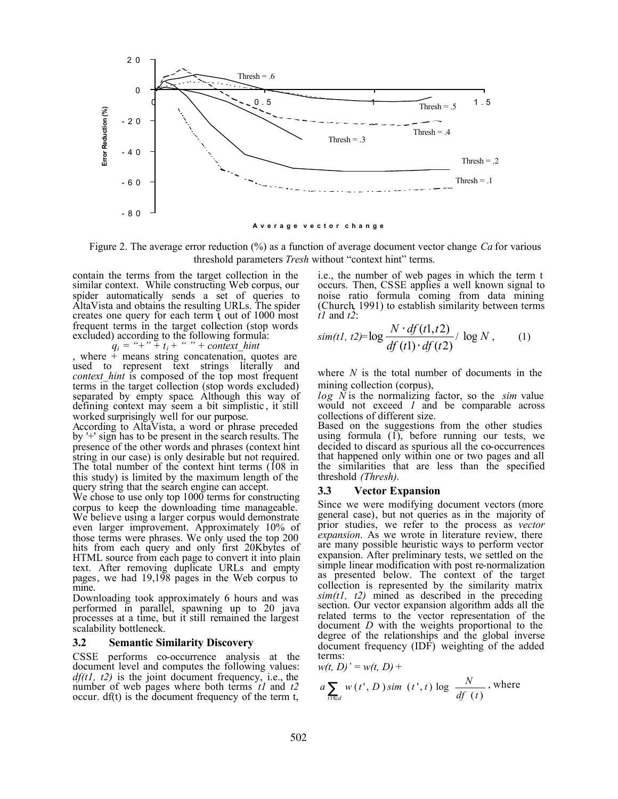

Figure 2. The average error reduction (%) as a function of average document vector change *Ca* for various threshold parameters *Tresh* without "context hint" terms.

contain the terms from the target collection in the similar context. While constructing Web corpus, our spider automatically sends a set of queries to AltaVista and obtains the resulting URLs. The spider creates one query for each term  $\mathfrak{t}$  out of 1000 most frequent terms in the target collection (stop words excluded) according to the following formula:

 $q_i =$  "+" +  $t_i$  + " " + context\_hint

, where  $+$  means string concatenation, quotes are used to represent text strings literally and *context hint* is composed of the top most frequent terms in the target collection (stop words excluded) separated by empty space. Although this way of defining context may seem a bit simplistic , it still worked surprisingly well for our purpose.

According to AltaVista, a word or phrase preceded by '+' sign has to be present in the search results. The presence of the other words and phrases (context hint string in our case) is only desirable but not required. The total number of the context hint terms (108 in this study) is limited by the maximum length of the query string that the search engine can accept.

We chose to use only top 1000 terms for constructing corpus to keep the downloading time manageable. We believe using a larger corpus would demonstrate even larger improvement. Approximately 10% of those terms were phrases. We only used the top 200 hits from each query and only first 20Kbytes of HTML source from each page to convert it into plain text. After removing duplicate URLs and empty pages, we had 19,198 pages in the Web corpus to mine.

Downloading took approximately 6 hours and was performed in parallel, spawning up to 20 java processes at a time, but it still remained the largest scalability bottleneck.

#### **3.2 Semantic Similarity Discovery**

CSSE performs co-occurrence analysis at the document level and computes the following values: *df(t1, t2)* is the joint document frequency, i.e., the number of web pages where both terms *t1* and *t2* occur. df(t) is the document frequency of the term t,

i.e., the number of web pages in which the term t occurs. Then, CSSE applies a well known signal to noise ratio formula coming from data mining (Church, 1991) to establish similarity between terms *t1* and *t2*:

$$
sim(t1, t2)=\log \frac{N \cdot df(t1, t2)}{df(t1) \cdot df(t2)}/\log N, \qquad (1)
$$

where *N* is the total number of documents in the mining collection (corpus),

*log N* is the normalizing factor, so the *sim* value would not exceed *1* and be comparable across collections of different size.

Based on the suggestions from the other studies using formula  $(1)$ , before running our tests, we decided to discard as spurious all the co-occurrences that happened only within one or two pages and all the similarities that are less than the specified threshold *(Thresh).* 

#### **3.3 Vector Expansion**

Since we were modifying document vectors (more general case), but not queries as in the majority of prior studies, we refer to the process as *vector expansion*. As we wrote in literature review, there are many possible heuristic ways to perform vector expansion. After preliminary tests, we settled on the simple linear modification with post re-normalization as presented below. The context of the target collection is represented by the similarity matrix  $sim(t1, t2)$  mined as described in the preceding section. Our vector expansion algorithm adds all the related terms to the vector representation of the document *D* with the weights proportional to the degree of the relationships and the global inverse document frequency (IDF) weighting of the added terms:

$$
w(t, D)' = w(t, D) +
$$
  
\n
$$
a \sum_{t \in d} w(t', D) \sin(t', t) \log \frac{N}{df(t)},
$$
 where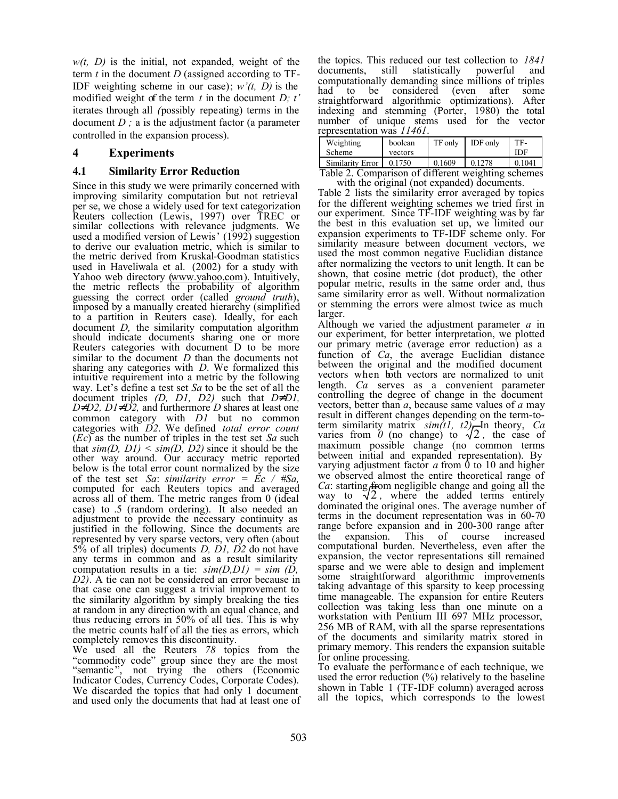$w(t, D)$  is the initial, not expanded, weight of the term  $t$  in the document  $D$  (assigned according to  $TF-$ IDF weighting scheme in our case); *w'(t, D)* is the modified weight of the term *t* in the document *D; t'* iterates through all *(*possibly repeating) terms in the document *D ;* a is the adjustment factor (a parameter controlled in the expansion process).

# **4 Experiments**

## **4.1 Similarity Error Reduction**

Since in this study we were primarily concerned with improving similarity computation but not retrieval per se, we chose a widely used for text categorization Reuters collection (Lewis, 1997) over TREC or similar collections with relevance judgments. We used a modified version of Lewis' (1992) suggestion to derive our evaluation metric, which is similar to the metric derived from Kruskal-Goodman statistics used in Haveliwala et al. (2002) for a study with Yahoo web directory (www.yahoo.com). Intuitively, the metric reflects the probability of algorithm guessing the correct order (called *ground truth*), imposed by a manually created hierarchy (simplified to a partition in Reuters case). Ideally, for each document *D,* the similarity computation algorithm should indicate documents sharing one or more Reuters categories with document D to be more similar to the document *D* than the documents not sharing any categories with *D*. We formalized this intuitive requirement into a metric by the following way. Let's define a test set *Sa* to be the set of all the document triples *(D, D1, D2)* such that  $D^1DI$ ,  $D<sup>1</sup>D2$ ,  $D<sup>1</sup>D<sup>2</sup>$ , and furthermore *D* shares at least one common category with *D1* but no common categories with *D2*. We defined *total error count* (*Ec*) as the number of triples in the test set *Sa* such that  $\sin(D, D1) \leq \sin(D, D2)$  since it should be the other way around. Our accuracy metric reported below is the total error count normalized by the size of the test set *Sa*: *similarity error* =  $\vec{Ec}$  /  $#Sa$ , computed for each Reuters topics and averaged across all of them. The metric ranges from 0 (ideal case) to .5 (random ordering). It also needed an adjustment to provide the necessary continuity as justified in the following. Since the documents are represented by very sparse vectors, very often (about 5% of all triples) documents *D, D1, D2* do not have any terms in common and as a result similarity computation results in a tie: *sim(D,D1) = sim (D, D2)*. A tie can not be considered an error because in that case one can suggest a trivial improvement to the similarity algorithm by simply breaking the ties at random in any direction with an equal chance, and thus reducing errors in 50% of all ties. This is why the metric counts half of all the ties as errors, which completely removes this discontinuity.

We used all the Reuters *78* topics from the "commodity code" group since they are the most "semantic", not trying the others (Economic Indicator Codes, Currency Codes, Corporate Codes). We discarded the topics that had only 1 document and used only the documents that had at least one of the topics. This reduced our test collection to *1841*<br>documents still statistically nowerful and documents, still statistically powerful computationally demanding since millions of triples had to be considered (even after some straightforward algorithmic optimizations). After indexing and stemming (Porter, 1980) the total number of unique stems used for the vector representation was *11461*.

| Weighting<br>Scheme | boolean<br>vectors | TF only | <b>IDF</b> only | TF-<br>IDF |
|---------------------|--------------------|---------|-----------------|------------|
| Similarity Error    | 0.1750             | 0.1609  | 0.1278          | 0.1041     |
| - 11                |                    | 0.120   |                 |            |

Table 2. Comparison of different weighting schemes with the original (not expanded) documents.

Table 2 lists the similarity error averaged by topics for the different weighting schemes we tried first in our experiment. Since TF-IDF weighting was by far the best in this evaluation set up, we limited our expansion experiments to TF-IDF scheme only. For similarity measure between document vectors, we used the most common negative Euclidian distance after normalizing the vectors to unit length. It can be shown, that cosine metric (dot product), the other popular metric, results in the same order and, thus same similarity error as well. Without normalization or stemming the errors were almost twice as much larger.

Although we varied the adjustment parameter *a* in our experiment, for better interpretation, we plotted our primary metric (average error reduction) as a function of *Ca*, the average Euclidian distance between the original and the modified document vectors when both vectors are normalized to unit length. *Ca* serves as a convenient parameter controlling the degree of change in the document vectors, better than *a*, because same values of *a* may result in different changes depending on the term-toterm similarity matrix  $\sin(1, t^2)$ . In theory, *Ca* varies from  $\theta$  (no change) to  $\sqrt{2}$ , the case of maximum possible change (no common terms between initial and expanded representation). By varying adjustment factor *a* from 0 to 10 and higher we observed almost the entire theoretical range of *Ca*: starting from negligible change and going all the way to  $\sqrt{2}$ , where the added terms entirely dominated the original ones. The average number of terms in the document representation was in 60-70 range before expansion and in 200-300 range after<br>the expansion. This of course increased the expansion. This of course increased computational burden. Nevertheless, even after the expansion, the vector representations still remained sparse and we were able to design and implement some straightforward algorithmic improvements taking advantage of this sparsity to keep processing time manageable. The expansion for entire Reuters collection was taking less than one minute on a workstation with Pentium III 697 MHz processor, 256 MB of RAM, with all the sparse representations of the documents and similarity matrix stored in primary memory. This renders the expansion suitable for online processing.

To evaluate the performance of each technique, we used the error reduction  $(\%)$  relatively to the baseline shown in Table 1 (TF-IDF column) averaged across all the topics, which corresponds to the lowest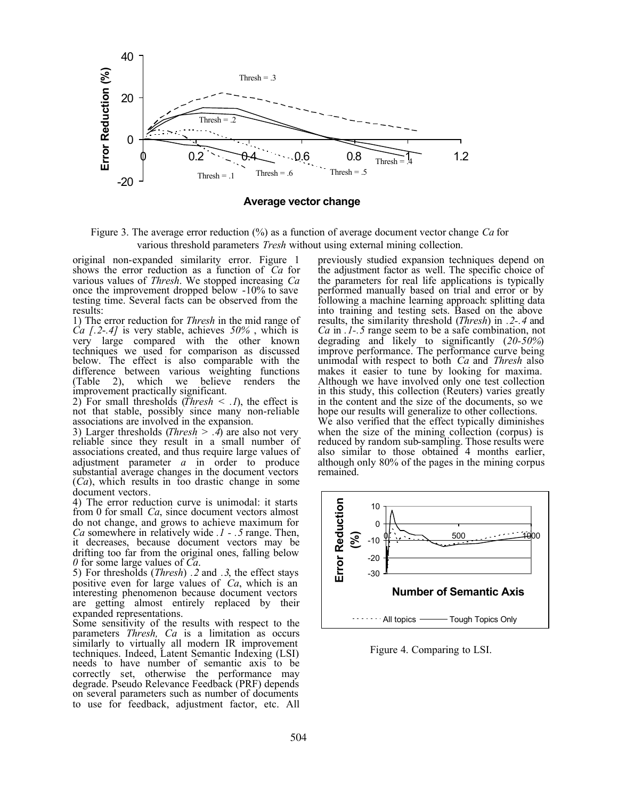

**Average vector change**

Figure 3. The average error reduction (%) as a function of average document vector change *Ca* for various threshold parameters *Tresh* without using external mining collection.

original non-expanded similarity error. Figure 1 shows the error reduction as a function of *Ca* for various values of *Thresh*. We stopped increasing *Ca* once the improvement dropped below -10% to save testing time. Several facts can be observed from the results:

1) The error reduction for *Thresh* in the mid range of *Ca [.2*-*.4]* is very stable, achieves *50%* , which is very large compared with the other known techniques we used for comparison as discussed below. The effect is also comparable with the difference between various weighting functions<br>(Table 2), which we believe renders the  $(2)$ , which we believe improvement practically significant.

2) For small thresholds (*Thresh*  $\leq$  .*I*), the effect is not that stable, possibly since many non-reliable associations are involved in the expansion.

3) Larger thresholds (*Thresh*  $> .4$ ) are also not very reliable since they result in a small number of associations created, and thus require large values of adjustment parameter *a* in order to produce substantial average changes in the document vectors (*Ca*), which results in too drastic change in some document vectors.

4) The error reduction curve is unimodal: it starts from 0 for small *Ca*, since document vectors almost do not change, and grows to achieve maximum for *Ca* somewhere in relatively wide *.1 - .5* range. Then, it decreases, because document vectors may be drifting too far from the original ones, falling below *0* for some large values of *Ca*.

5) For thresholds (*Thresh*) *.2* and *.3*, the effect stays positive even for large values of *Ca*, which is an interesting phenomenon because document vectors are getting almost entirely replaced by their expanded representations.

Some sensitivity of the results with respect to the parameters *Thresh, Ca* is a limitation as occurs similarly to virtually all modern IR improvement techniques. Indeed, Latent Semantic Indexing (LSI) needs to have number of semantic axis to be correctly set, otherwise the performance may degrade. Pseudo Relevance Feedback (PRF) depends on several parameters such as number of documents to use for feedback, adjustment factor, etc. All previously studied expansion techniques depend on the adjustment factor as well. The specific choice of the parameters for real life applications is typically performed manually based on trial and error or by following a machine learning approach: splitting data into training and testing sets. Based on the above results, the similarity threshold (*Thresh*) in *.2-.4* and *Ca* in *.1-.5* range seem to be a safe combination, not degrading and likely to significantly (*20-50%*) improve performance. The performance curve being unimodal with respect to both *Ca* and *Thresh* also makes it easier to tune by looking for maxima. Although we have involved only one test collection in this study, this collection (Reuters) varies greatly in the content and the size of the documents, so we hope our results will generalize to other collections. We also verified that the effect typically diminishes when the size of the mining collection (corpus) is reduced by random sub-sampling. Those results were also similar to those obtained 4 months earlier, although only 80% of the pages in the mining corpus remained.



Figure 4. Comparing to LSI.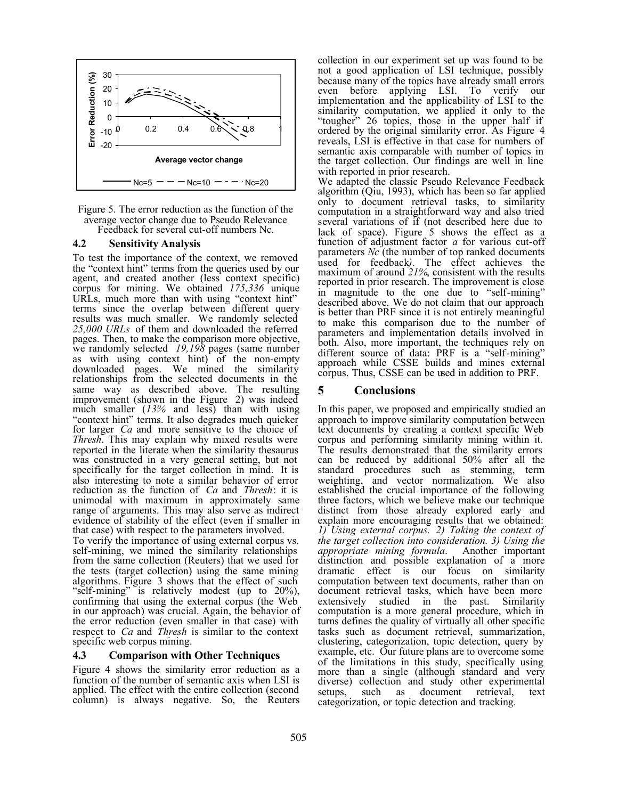

Figure 5. The error reduction as the function of the average vector change due to Pseudo Relevance Feedback for several cut-off numbers Nc.

#### **4.2 Sensitivity Analysis**

To test the importance of the context, we removed the "context hint" terms from the queries used by our agent, and created another (less context specific) corpus for mining. We obtained *175,336* unique URLs, much more than with using "context hint" terms since the overlap between different query results was much smaller. We randomly selected *25,000 URLs* of them and downloaded the referred pages. Then, to make the comparison more objective, we randomly selected *19,198* pages (same number as with using context hint) of the non-empty downloaded pages. We mined the similarity relationships from the selected documents in the same way as described above. The resulting improvement (shown in the Figure 2) was indeed much smaller (*13%* and less) than with using "context hint" terms. It also degrades much quicker for larger *Ca* and more sensitive to the choice of *Thresh*. This may explain why mixed results were reported in the literate when the similarity thesaurus was constructed in a very general setting, but not specifically for the target collection in mind. It is also interesting to note a similar behavior of error reduction as the function of *Ca* and *Thresh*: it is unimodal with maximum in approximately same range of arguments. This may also serve as indirect evidence of stability of the effect (even if smaller in that case) with respect to the parameters involved.

To verify the importance of using external corpus vs. self-mining, we mined the similarity relationships from the same collection (Reuters) that we used for the tests (target collection) using the same mining algorithms. Figure 3 shows that the effect of such "self-mining" is relatively modest (up to 20%), confirming that using the external corpus (the Web in our approach) was crucial. Again, the behavior of the error reduction (even smaller in that case) with respect to *Ca* and *Thresh* is similar to the context specific web corpus mining.

#### **4.3 Comparison with Other Techniques**

Figure 4 shows the similarity error reduction as a function of the number of semantic axis when LSI is applied. The effect with the entire collection (second column) is always negative. So, the Reuters collection in our experiment set up was found to be not a good application of LSI technique, possibly because many of the topics have already small errors even before applying LSI. To verify our implementation and the applicability of LSI to the similarity computation, we applied it only to the "tougher" 26 topics, those in the upper half if ordered by the original similarity error. As Figure 4 reveals, LSI is effective in that case for numbers of semantic axis comparable with number of topics in the target collection. Our findings are well in line with reported in prior research.

We adapted the classic Pseudo Relevance Feedback algorithm (Qiu, 1993), which has been so far applied only to document retrieval tasks, to similarity computation in a straightforward way and also tried several variations of if (not described here due to lack of space). Figure 5 shows the effect as a function of adjustment factor *a* for various cut-off parameters *Nc* (the number of top ranked documents used for feedback*)*. The effect achieves the maximum of around *21%*, consistent with the results reported in prior research. The improvement is close in magnitude to the one due to "self-mining" described above. We do not claim that our approach is better than PRF since it is not entirely meaningful to make this comparison due to the number of parameters and implementation details involved in both. Also, more important, the techniques rely on different source of data: PRF is a "self-mining" approach while CSSE builds and mines external corpus. Thus, CSSE can be used in addition to PRF.

### **5 Conclusions**

In this paper, we proposed and empirically studied an approach to improve similarity computation between text documents by creating a context specific Web corpus and performing similarity mining within it. The results demonstrated that the similarity errors can be reduced by additional 50% after all the standard procedures such as stemming, term weighting, and vector normalization. We also established the crucial importance of the following three factors, which we believe make our technique distinct from those already explored early and explain more encouraging results that we obtained: *1) Using external corpus. 2) Taking the context of the target collection into consideration. 3) Using the appropriate mining formula*. Another important distinction and possible explanation of a more dramatic effect is our focus on similarity computation between text documents, rather than on document retrieval tasks, which have been more extensively studied in the past. Similarity computation is a more general procedure, which in turns defines the quality of virtually all other specific tasks such as document retrieval, summarization, clustering, categorization, topic detection, query by example, etc. Our future plans are to overcome some of the limitations in this study, specifically using more than a single (although standard and very diverse) collection and study other experimental<br>setups, such as document retrieval, text setups, such as document retrieval, text categorization, or topic detection and tracking.